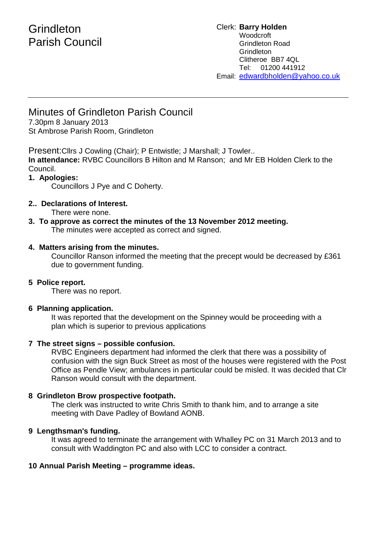# **Grindleton** Parish Council

#### Clerk: **Barry Holden** Woodcroft Grindleton Road **Grindleton** Clitheroe BB7 4QL Tel: 01200 441912 Email: [edwardbholden@yahoo.co.uk](mailto:edwardbholden@yahoo.co.uk)

## Minutes of Grindleton Parish Council

7.30pm 8 January 2013 St Ambrose Parish Room, Grindleton

Present:Cllrs J Cowling (Chair); P Entwistle; J Marshall; J Towler..

**In attendance:** RVBC Councillors B Hilton and M Ranson; and Mr EB Holden Clerk to the Council.

## **1. Apologies:**

Councillors J Pye and C Doherty.

## **2.. Declarations of Interest.**

There were none.

**3. To approve as correct the minutes of the 13 November 2012 meeting.** The minutes were accepted as correct and signed.

## **4. Matters arising from the minutes.**

Councillor Ranson informed the meeting that the precept would be decreased by £361 due to government funding.

## **5 Police report.**

There was no report.

## **6 Planning application.**

It was reported that the development on the Spinney would be proceeding with a plan which is superior to previous applications

## **7 The street signs – possible confusion.**

RVBC Engineers department had informed the clerk that there was a possibility of confusion with the sign Buck Street as most of the houses were registered with the Post Office as Pendle View; ambulances in particular could be misled. It was decided that Clr Ranson would consult with the department.

## **8 Grindleton Brow prospective footpath.**

The clerk was instructed to write Chris Smith to thank him, and to arrange a site meeting with Dave Padley of Bowland AONB.

## **9 Lengthsman's funding.**

It was agreed to terminate the arrangement with Whalley PC on 31 March 2013 and to consult with Waddington PC and also with LCC to consider a contract.

## **10 Annual Parish Meeting – programme ideas.**